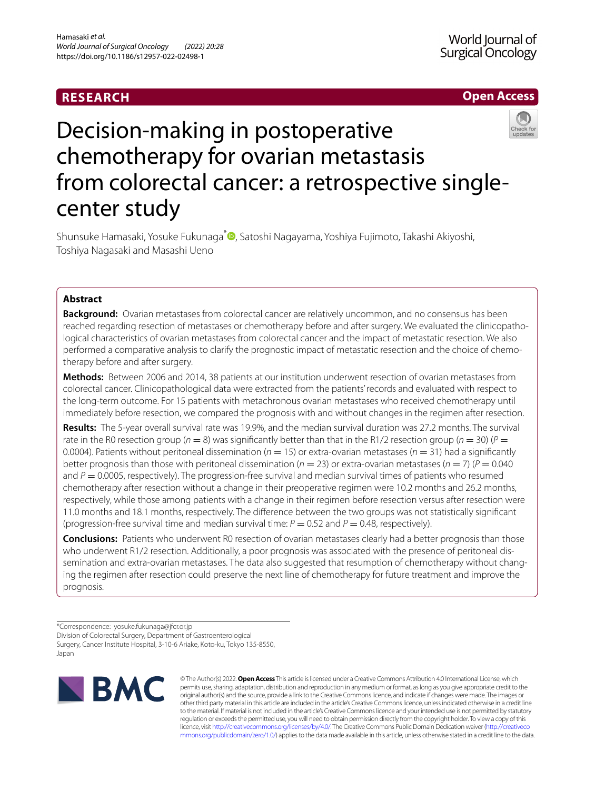# **RESEARCH**

## **Open Access**



# Decision-making in postoperative chemotherapy for ovarian metastasis from colorectal cancer: a retrospective singlecenter study

Shunsuke Hamasaki, Yosuke Fukunaga<sup>[\\*](http://orcid.org/0000-0002-6397-0907)</sup> , Satoshi Nagayama, Yoshiya Fujimoto, Takashi Akiyoshi, Toshiya Nagasaki and Masashi Ueno

## **Abstract**

**Background:** Ovarian metastases from colorectal cancer are relatively uncommon, and no consensus has been reached regarding resection of metastases or chemotherapy before and after surgery. We evaluated the clinicopathological characteristics of ovarian metastases from colorectal cancer and the impact of metastatic resection. We also performed a comparative analysis to clarify the prognostic impact of metastatic resection and the choice of chemotherapy before and after surgery.

**Methods:** Between 2006 and 2014, 38 patients at our institution underwent resection of ovarian metastases from colorectal cancer. Clinicopathological data were extracted from the patients' records and evaluated with respect to the long-term outcome. For 15 patients with metachronous ovarian metastases who received chemotherapy until immediately before resection, we compared the prognosis with and without changes in the regimen after resection.

**Results:** The 5-year overall survival rate was 19.9%, and the median survival duration was 27.2 months. The survival rate in the R0 resection group ( $n = 8$ ) was significantly better than that in the R1/2 resection group ( $n = 30$ ) ( $P =$ 0.0004). Patients without peritoneal dissemination ( $n = 15$ ) or extra-ovarian metastases ( $n = 31$ ) had a significantly better prognosis than those with peritoneal dissemination ( $n = 23$ ) or extra-ovarian metastases ( $n = 7$ ) ( $P = 0.040$ ) and  $P = 0.0005$ , respectively). The progression-free survival and median survival times of patients who resumed chemotherapy after resection without a change in their preoperative regimen were 10.2 months and 26.2 months, respectively, while those among patients with a change in their regimen before resection versus after resection were 11.0 months and 18.1 months, respectively. The diference between the two groups was not statistically signifcant (progression-free survival time and median survival time:  $P = 0.52$  and  $P = 0.48$ , respectively).

**Conclusions:** Patients who underwent R0 resection of ovarian metastases clearly had a better prognosis than those who underwent R1/2 resection. Additionally, a poor prognosis was associated with the presence of peritoneal dissemination and extra-ovarian metastases. The data also suggested that resumption of chemotherapy without changing the regimen after resection could preserve the next line of chemotherapy for future treatment and improve the prognosis.

\*Correspondence: yosuke.fukunaga@jfcr.or.jp

Division of Colorectal Surgery, Department of Gastroenterological

Surgery, Cancer Institute Hospital, 3-10-6 Ariake, Koto-ku, Tokyo 135-8550, Japan



© The Author(s) 2022. **Open Access** This article is licensed under a Creative Commons Attribution 4.0 International License, which permits use, sharing, adaptation, distribution and reproduction in any medium or format, as long as you give appropriate credit to the original author(s) and the source, provide a link to the Creative Commons licence, and indicate if changes were made. The images or other third party material in this article are included in the article's Creative Commons licence, unless indicated otherwise in a credit line to the material. If material is not included in the article's Creative Commons licence and your intended use is not permitted by statutory regulation or exceeds the permitted use, you will need to obtain permission directly from the copyright holder. To view a copy of this licence, visit [http://creativecommons.org/licenses/by/4.0/.](http://creativecommons.org/licenses/by/4.0/) The Creative Commons Public Domain Dedication waiver ([http://creativeco](http://creativecommons.org/publicdomain/zero/1.0/) [mmons.org/publicdomain/zero/1.0/](http://creativecommons.org/publicdomain/zero/1.0/)) applies to the data made available in this article, unless otherwise stated in a credit line to the data.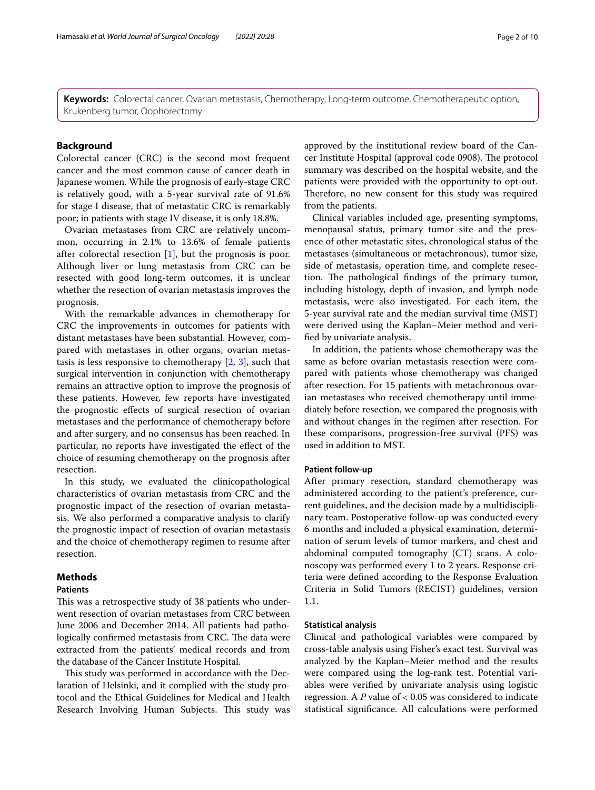**Keywords:** Colorectal cancer, Ovarian metastasis, Chemotherapy, Long-term outcome, Chemotherapeutic option, Krukenberg tumor, Oophorectomy

## **Background**

Colorectal cancer (CRC) is the second most frequent cancer and the most common cause of cancer death in Japanese women. While the prognosis of early-stage CRC is relatively good, with a 5-year survival rate of 91.6% for stage I disease, that of metastatic CRC is remarkably poor; in patients with stage IV disease, it is only 18.8%.

Ovarian metastases from CRC are relatively uncommon, occurring in 2.1% to 13.6% of female patients after colorectal resection [[1\]](#page-8-0), but the prognosis is poor. Although liver or lung metastasis from CRC can be resected with good long-term outcomes, it is unclear whether the resection of ovarian metastasis improves the prognosis.

With the remarkable advances in chemotherapy for CRC the improvements in outcomes for patients with distant metastases have been substantial. However, compared with metastases in other organs, ovarian metastasis is less responsive to chemotherapy  $[2, 3]$  $[2, 3]$  $[2, 3]$ , such that surgical intervention in conjunction with chemotherapy remains an attractive option to improve the prognosis of these patients. However, few reports have investigated the prognostic efects of surgical resection of ovarian metastases and the performance of chemotherapy before and after surgery, and no consensus has been reached. In particular, no reports have investigated the efect of the choice of resuming chemotherapy on the prognosis after resection.

In this study, we evaluated the clinicopathological characteristics of ovarian metastasis from CRC and the prognostic impact of the resection of ovarian metastasis. We also performed a comparative analysis to clarify the prognostic impact of resection of ovarian metastasis and the choice of chemotherapy regimen to resume after resection.

## **Methods**

## **Patients**

This was a retrospective study of 38 patients who underwent resection of ovarian metastases from CRC between June 2006 and December 2014. All patients had pathologically confirmed metastasis from CRC. The data were extracted from the patients' medical records and from the database of the Cancer Institute Hospital.

This study was performed in accordance with the Declaration of Helsinki, and it complied with the study protocol and the Ethical Guidelines for Medical and Health Research Involving Human Subjects. This study was

approved by the institutional review board of the Cancer Institute Hospital (approval code 0908). The protocol summary was described on the hospital website, and the patients were provided with the opportunity to opt-out. Therefore, no new consent for this study was required from the patients.

Clinical variables included age, presenting symptoms, menopausal status, primary tumor site and the presence of other metastatic sites, chronological status of the metastases (simultaneous or metachronous), tumor size, side of metastasis, operation time, and complete resection. The pathological findings of the primary tumor, including histology, depth of invasion, and lymph node metastasis, were also investigated. For each item, the 5-year survival rate and the median survival time (MST) were derived using the Kaplan–Meier method and verifed by univariate analysis.

In addition, the patients whose chemotherapy was the same as before ovarian metastasis resection were compared with patients whose chemotherapy was changed after resection. For 15 patients with metachronous ovarian metastases who received chemotherapy until immediately before resection, we compared the prognosis with and without changes in the regimen after resection. For these comparisons, progression-free survival (PFS) was used in addition to MST.

### **Patient follow‑up**

After primary resection, standard chemotherapy was administered according to the patient's preference, current guidelines, and the decision made by a multidisciplinary team. Postoperative follow-up was conducted every 6 months and included a physical examination, determination of serum levels of tumor markers, and chest and abdominal computed tomography (CT) scans. A colonoscopy was performed every 1 to 2 years. Response criteria were defned according to the Response Evaluation Criteria in Solid Tumors (RECIST) guidelines, version 1.1.

## **Statistical analysis**

Clinical and pathological variables were compared by cross-table analysis using Fisher's exact test. Survival was analyzed by the Kaplan–Meier method and the results were compared using the log-rank test. Potential variables were verifed by univariate analysis using logistic regression. A *P* value of < 0.05 was considered to indicate statistical signifcance. All calculations were performed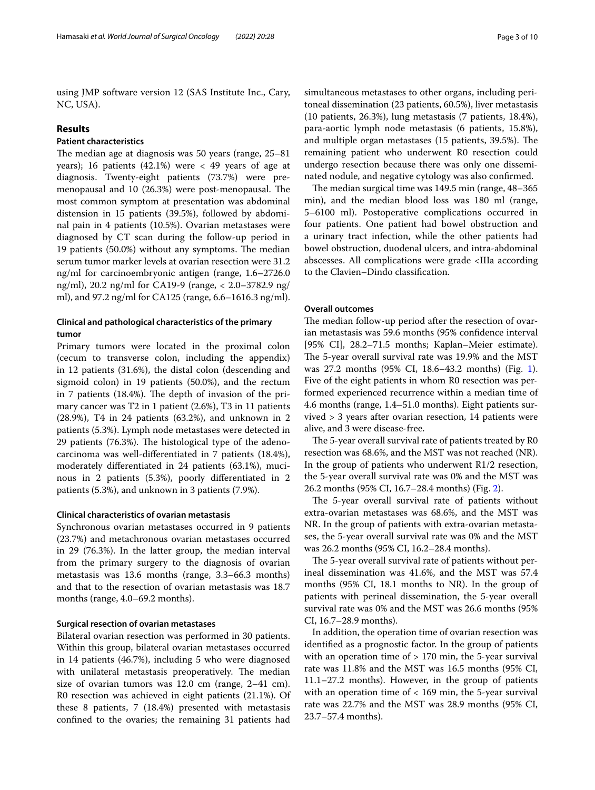using JMP software version 12 (SAS Institute Inc., Cary, NC, USA).

## **Results**

## **Patient characteristics**

The median age at diagnosis was 50 years (range,  $25-81$ ) years); 16 patients  $(42.1\%)$  were  $\lt$  49 years of age at diagnosis. Twenty-eight patients (73.7%) were premenopausal and 10 (26.3%) were post-menopausal. The most common symptom at presentation was abdominal distension in 15 patients (39.5%), followed by abdominal pain in 4 patients (10.5%). Ovarian metastases were diagnosed by CT scan during the follow-up period in 19 patients (50.0%) without any symptoms. The median serum tumor marker levels at ovarian resection were 31.2 ng/ml for carcinoembryonic antigen (range, 1.6–2726.0 ng/ml), 20.2 ng/ml for CA19-9 (range, < 2.0–3782.9 ng/ ml), and 97.2 ng/ml for CA125 (range, 6.6–1616.3 ng/ml).

## **Clinical and pathological characteristics of the primary tumor**

Primary tumors were located in the proximal colon (cecum to transverse colon, including the appendix) in 12 patients (31.6%), the distal colon (descending and sigmoid colon) in 19 patients (50.0%), and the rectum in 7 patients  $(18.4\%)$ . The depth of invasion of the primary cancer was T2 in 1 patient (2.6%), T3 in 11 patients (28.9%), T4 in 24 patients (63.2%), and unknown in 2 patients (5.3%). Lymph node metastases were detected in 29 patients (76.3%). The histological type of the adenocarcinoma was well-diferentiated in 7 patients (18.4%), moderately diferentiated in 24 patients (63.1%), mucinous in 2 patients (5.3%), poorly diferentiated in 2 patients (5.3%), and unknown in 3 patients (7.9%).

#### **Clinical characteristics of ovarian metastasis**

Synchronous ovarian metastases occurred in 9 patients (23.7%) and metachronous ovarian metastases occurred in 29 (76.3%). In the latter group, the median interval from the primary surgery to the diagnosis of ovarian metastasis was 13.6 months (range, 3.3–66.3 months) and that to the resection of ovarian metastasis was 18.7 months (range, 4.0–69.2 months).

### **Surgical resection of ovarian metastases**

Bilateral ovarian resection was performed in 30 patients. Within this group, bilateral ovarian metastases occurred in 14 patients (46.7%), including 5 who were diagnosed with unilateral metastasis preoperatively. The median size of ovarian tumors was 12.0 cm (range, 2–41 cm). R0 resection was achieved in eight patients (21.1%). Of these 8 patients, 7 (18.4%) presented with metastasis confned to the ovaries; the remaining 31 patients had

simultaneous metastases to other organs, including peritoneal dissemination (23 patients, 60.5%), liver metastasis (10 patients, 26.3%), lung metastasis (7 patients, 18.4%), para-aortic lymph node metastasis (6 patients, 15.8%), and multiple organ metastases (15 patients, 39.5%). The remaining patient who underwent R0 resection could undergo resection because there was only one disseminated nodule, and negative cytology was also confrmed.

The median surgical time was 149.5 min (range, 48-365) min), and the median blood loss was 180 ml (range, 5–6100 ml). Postoperative complications occurred in four patients. One patient had bowel obstruction and a urinary tract infection, while the other patients had bowel obstruction, duodenal ulcers, and intra-abdominal abscesses. All complications were grade <IIIa according to the Clavien–Dindo classifcation.

## **Overall outcomes**

The median follow-up period after the resection of ovarian metastasis was 59.6 months (95% confdence interval [95% CI], 28.2–71.5 months; Kaplan–Meier estimate). The 5-year overall survival rate was 19.9% and the MST was 27.2 months (95% CI, 18.6–43.2 months) (Fig. [1](#page-3-0)). Five of the eight patients in whom R0 resection was performed experienced recurrence within a median time of 4.6 months (range, 1.4–51.0 months). Eight patients survived > 3 years after ovarian resection, 14 patients were alive, and 3 were disease-free.

The 5-year overall survival rate of patients treated by R0 resection was 68.6%, and the MST was not reached (NR). In the group of patients who underwent R1/2 resection, the 5-year overall survival rate was 0% and the MST was 26.2 months (95% CI, 16.7–28.4 months) (Fig. [2](#page-3-1)).

The 5-year overall survival rate of patients without extra-ovarian metastases was 68.6%, and the MST was NR. In the group of patients with extra-ovarian metastases, the 5-year overall survival rate was 0% and the MST was 26.2 months (95% CI, 16.2–28.4 months).

The 5-year overall survival rate of patients without perineal dissemination was 41.6%, and the MST was 57.4 months (95% CI, 18.1 months to NR). In the group of patients with perineal dissemination, the 5-year overall survival rate was 0% and the MST was 26.6 months (95% CI, 16.7–28.9 months).

In addition, the operation time of ovarian resection was identifed as a prognostic factor. In the group of patients with an operation time of > 170 min, the 5-year survival rate was 11.8% and the MST was 16.5 months (95% CI, 11.1–27.2 months). However, in the group of patients with an operation time of < 169 min, the 5-year survival rate was 22.7% and the MST was 28.9 months (95% CI, 23.7–57.4 months).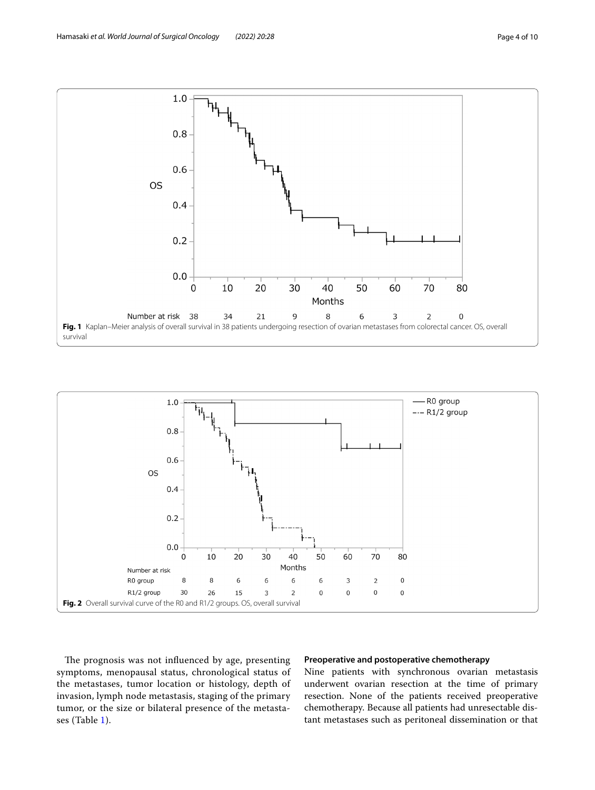

<span id="page-3-0"></span>

<span id="page-3-1"></span>The prognosis was not influenced by age, presenting symptoms, menopausal status, chronological status of the metastases, tumor location or histology, depth of invasion, lymph node metastasis, staging of the primary tumor, or the size or bilateral presence of the metastases (Table [1\)](#page-4-0).

## **Preoperative and postoperative chemotherapy**

Nine patients with synchronous ovarian metastasis underwent ovarian resection at the time of primary resection. None of the patients received preoperative chemotherapy. Because all patients had unresectable distant metastases such as peritoneal dissemination or that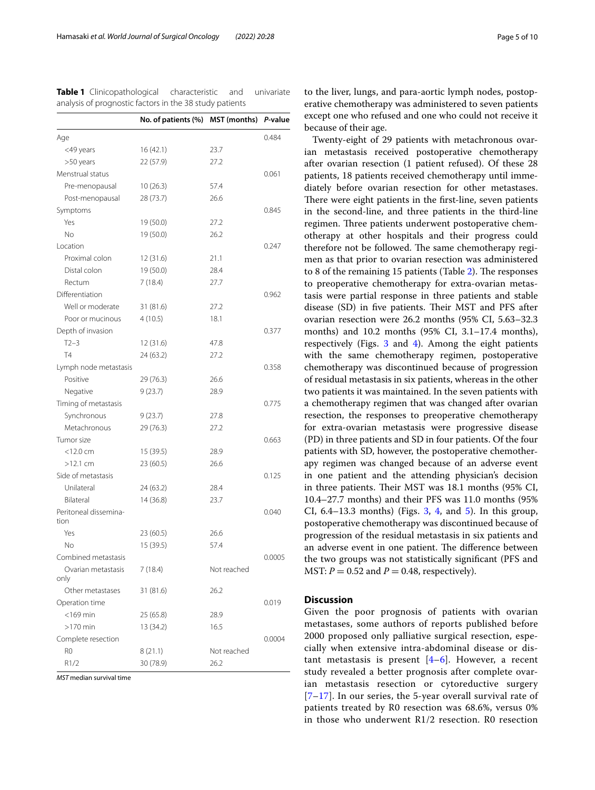<span id="page-4-0"></span>**Table 1** Clinicopathological characteristic and univariate analysis of prognostic factors in the 38 study patients

|                               | No. of patients (%) | <b>MST</b> (months) | P-value |
|-------------------------------|---------------------|---------------------|---------|
| Age                           |                     |                     | 0.484   |
| <49 years                     | 16(42.1)            | 23.7                |         |
| >50 years                     | 22 (57.9)           | 27.2                |         |
| Menstrual status              |                     |                     | 0.061   |
| Pre-menopausal                | 10(26.3)            | 57.4                |         |
| Post-menopausal               | 28 (73.7)           | 26.6                |         |
| Symptoms                      |                     |                     | 0.845   |
| Yes                           | 19 (50.0)           | 27.2                |         |
| No.                           | 19 (50.0)           | 26.2                |         |
| Location                      |                     |                     | 0.247   |
| Proximal colon                | 12 (31.6)           | 21.1                |         |
| Distal colon                  | 19 (50.0)           | 28.4                |         |
| Rectum                        | 7(18.4)             | 27.7                |         |
| Differentiation               |                     |                     | 0.962   |
| Well or moderate              | 31 (81.6)           | 27.2                |         |
| Poor or mucinous              | 4(10.5)             | 18.1                |         |
| Depth of invasion             |                     |                     | 0.377   |
| $T2-3$                        | 12 (31.6)           | 47.8                |         |
| <b>T4</b>                     | 24 (63.2)           | 27.2                |         |
| Lymph node metastasis         |                     |                     | 0.358   |
| Positive                      | 29 (76.3)           | 26.6                |         |
| Negative                      | 9(23.7)             | 28.9                |         |
| Timing of metastasis          |                     |                     | 0.775   |
| Synchronous                   | 9(23.7)             | 27.8                |         |
| Metachronous                  | 29 (76.3)           | 27.2                |         |
| Tumor size                    |                     |                     | 0.663   |
| $<$ 12.0 cm                   | 15 (39.5)           | 28.9                |         |
| $>12.1$ cm                    | 23 (60.5)           | 26.6                |         |
| Side of metastasis            |                     |                     | 0.125   |
| Unilateral                    | 24 (63.2)           | 28.4                |         |
| <b>Bilateral</b>              | 14 (36.8)           | 23.7                |         |
| Peritoneal dissemina-<br>tion |                     |                     | 0.040   |
| Yes                           | 23 (60.5)           | 26.6                |         |
| No                            | 15 (39.5)           | 57.4                |         |
| Combined metastasis           |                     |                     | 0.0005  |
| Ovarian metastasis<br>only    | 7 (18.4)            | Not reached         |         |
| Other metastases              | 31 (81.6)           | 26.2                |         |
| Operation time                |                     |                     | 0.019   |
| $<$ 169min                    | 25 (65.8)           | 28.9                |         |
| $>170$ min                    | 13 (34.2)           | 16.5                |         |
| Complete resection            |                     |                     | 0.0004  |
| R0                            | 8(21.1)             | Not reached         |         |
| R1/2                          | 30 (78.9)           | 26.2                |         |

*MST* median survival time

to the liver, lungs, and para-aortic lymph nodes, postoperative chemotherapy was administered to seven patients except one who refused and one who could not receive it because of their age.

Twenty-eight of 29 patients with metachronous ovarian metastasis received postoperative chemotherapy after ovarian resection (1 patient refused). Of these 28 patients, 18 patients received chemotherapy until immediately before ovarian resection for other metastases. There were eight patients in the first-line, seven patients in the second-line, and three patients in the third-line regimen. Three patients underwent postoperative chemotherapy at other hospitals and their progress could therefore not be followed. The same chemotherapy regimen as that prior to ovarian resection was administered to 8 of the remaining 15 patients (Table [2\)](#page-5-0). The responses to preoperative chemotherapy for extra-ovarian metastasis were partial response in three patients and stable disease (SD) in five patients. Their MST and PFS after ovarian resection were 26.2 months (95% CI, 5.63–32.3 months) and 10.2 months (95% CI, 3.1–17.4 months), respectively (Figs. [3](#page-5-1) and [4](#page-5-2)). Among the eight patients with the same chemotherapy regimen, postoperative chemotherapy was discontinued because of progression of residual metastasis in six patients, whereas in the other two patients it was maintained. In the seven patients with a chemotherapy regimen that was changed after ovarian resection, the responses to preoperative chemotherapy for extra-ovarian metastasis were progressive disease (PD) in three patients and SD in four patients. Of the four patients with SD, however, the postoperative chemotherapy regimen was changed because of an adverse event in one patient and the attending physician's decision in three patients. Their MST was 18.1 months (95% CI, 10.4–27.7 months) and their PFS was 11.0 months (95% CI, 6.4–13.3 months) (Figs. [3](#page-5-1), [4](#page-5-2), and [5\)](#page-6-0). In this group, postoperative chemotherapy was discontinued because of progression of the residual metastasis in six patients and an adverse event in one patient. The difference between the two groups was not statistically signifcant (PFS and MST:  $P = 0.52$  and  $P = 0.48$ , respectively).

## **Discussion**

Given the poor prognosis of patients with ovarian metastases, some authors of reports published before 2000 proposed only palliative surgical resection, especially when extensive intra-abdominal disease or distant metastasis is present  $[4-6]$  $[4-6]$  $[4-6]$ . However, a recent study revealed a better prognosis after complete ovarian metastasis resection or cytoreductive surgery [[7](#page-8-5)[–17](#page-8-6)]. In our series, the 5-year overall survival rate of patients treated by R0 resection was 68.6%, versus 0% in those who underwent R1/2 resection. R0 resection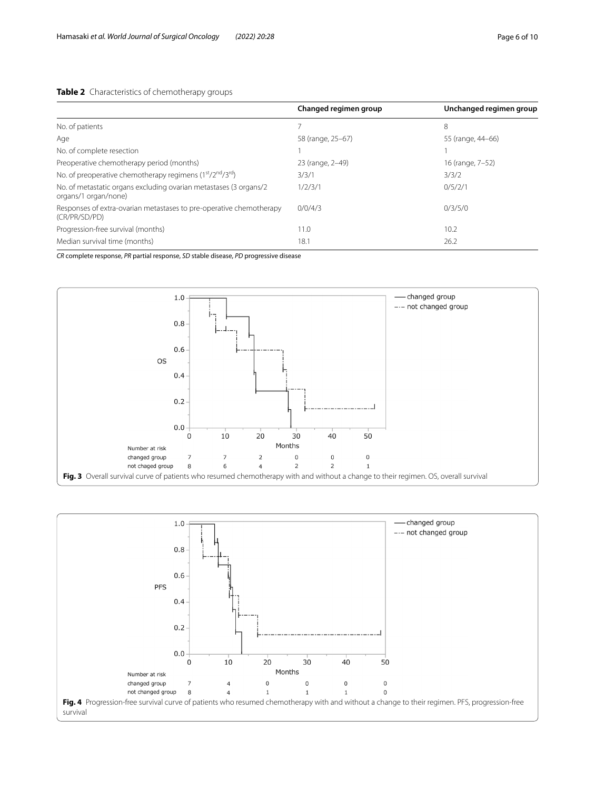## <span id="page-5-0"></span>**Table 2** Characteristics of chemotherapy groups

|                                                                                           | Changed regimen group | Unchanged regimen group |
|-------------------------------------------------------------------------------------------|-----------------------|-------------------------|
| No. of patients                                                                           |                       | 8                       |
| Age                                                                                       | 58 (range, 25-67)     | 55 (range, 44-66)       |
| No. of complete resection                                                                 |                       |                         |
| Preoperative chemotherapy period (months)                                                 | 23 (range, 2-49)      | 16 (range, 7-52)        |
| No. of preoperative chemotherapy regimens $(1st/2nd/3rd)$                                 | 3/3/1                 | 3/3/2                   |
| No. of metastatic organs excluding ovarian metastases (3 organs/2<br>organs/1 organ/none) | 1/2/3/1               | 0/5/2/1                 |
| Responses of extra-ovarian metastases to pre-operative chemotherapy<br>(CR/PR/SD/PD)      | 0/0/4/3               | 0/3/5/0                 |
| Progression-free survival (months)                                                        | 11.0                  | 10.2                    |
| Median survival time (months)                                                             | 18.1                  | 26.2                    |

*CR* complete response, *PR* partial response, *SD* stable disease, *PD* progressive disease



<span id="page-5-2"></span><span id="page-5-1"></span>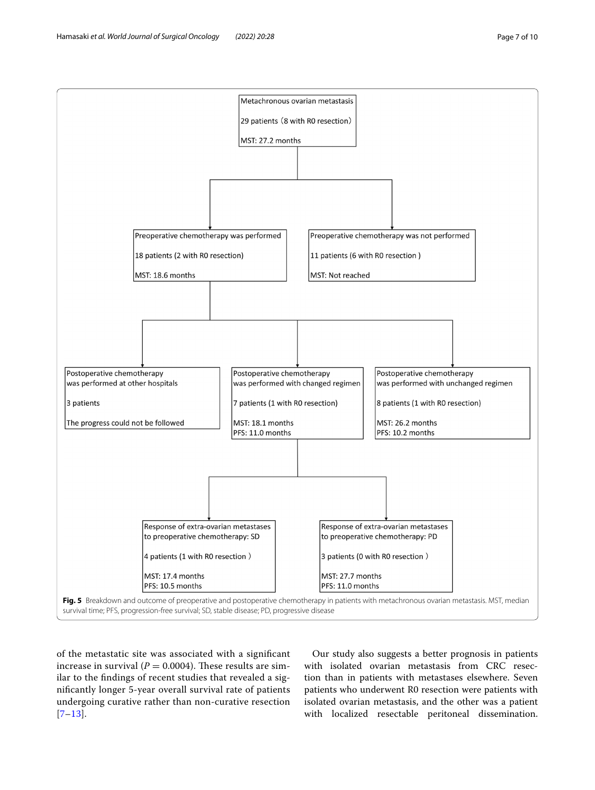

<span id="page-6-0"></span>of the metastatic site was associated with a signifcant increase in survival  $(P = 0.0004)$ . These results are similar to the fndings of recent studies that revealed a signifcantly longer 5-year overall survival rate of patients undergoing curative rather than non-curative resection [[7](#page-8-5)[–13](#page-8-7)].

Our study also suggests a better prognosis in patients with isolated ovarian metastasis from CRC resection than in patients with metastases elsewhere. Seven patients who underwent R0 resection were patients with isolated ovarian metastasis, and the other was a patient with localized resectable peritoneal dissemination.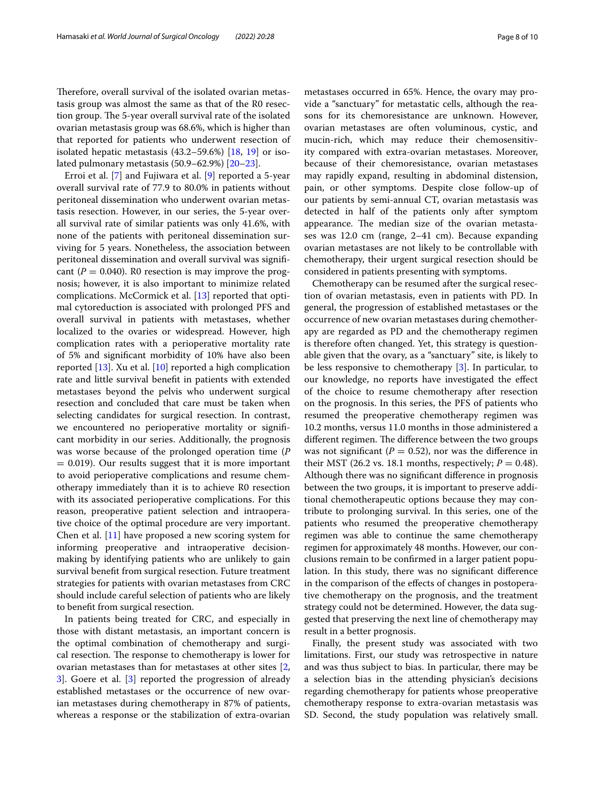Therefore, overall survival of the isolated ovarian metastasis group was almost the same as that of the R0 resection group. The 5-year overall survival rate of the isolated ovarian metastasis group was 68.6%, which is higher than that reported for patients who underwent resection of isolated hepatic metastasis (43.2–59.6%) [\[18,](#page-8-8) [19](#page-8-9)] or isolated pulmonary metastasis (50.9–62.9%) [[20–](#page-8-10)[23\]](#page-9-0).

Erroi et al. [[7](#page-8-5)] and Fujiwara et al. [[9\]](#page-8-11) reported a 5-year overall survival rate of 77.9 to 80.0% in patients without peritoneal dissemination who underwent ovarian metastasis resection. However, in our series, the 5-year overall survival rate of similar patients was only 41.6%, with none of the patients with peritoneal dissemination surviving for 5 years. Nonetheless, the association between peritoneal dissemination and overall survival was signifcant ( $P = 0.040$ ). R0 resection is may improve the prognosis; however, it is also important to minimize related complications. McCormick et al. [\[13](#page-8-7)] reported that optimal cytoreduction is associated with prolonged PFS and overall survival in patients with metastases, whether localized to the ovaries or widespread. However, high complication rates with a perioperative mortality rate of 5% and signifcant morbidity of 10% have also been reported [\[13\]](#page-8-7). Xu et al. [[10](#page-8-12)] reported a high complication rate and little survival beneft in patients with extended metastases beyond the pelvis who underwent surgical resection and concluded that care must be taken when selecting candidates for surgical resection. In contrast, we encountered no perioperative mortality or signifcant morbidity in our series. Additionally, the prognosis was worse because of the prolonged operation time (*P*  $= 0.019$ ). Our results suggest that it is more important to avoid perioperative complications and resume chemotherapy immediately than it is to achieve R0 resection with its associated perioperative complications. For this reason, preoperative patient selection and intraoperative choice of the optimal procedure are very important. Chen et al. [[11\]](#page-8-13) have proposed a new scoring system for informing preoperative and intraoperative decisionmaking by identifying patients who are unlikely to gain survival beneft from surgical resection. Future treatment strategies for patients with ovarian metastases from CRC should include careful selection of patients who are likely to beneft from surgical resection.

In patients being treated for CRC, and especially in those with distant metastasis, an important concern is the optimal combination of chemotherapy and surgical resection. The response to chemotherapy is lower for ovarian metastases than for metastases at other sites [\[2](#page-8-1), [3\]](#page-8-2). Goere et al. [\[3](#page-8-2)] reported the progression of already established metastases or the occurrence of new ovarian metastases during chemotherapy in 87% of patients, whereas a response or the stabilization of extra-ovarian metastases occurred in 65%. Hence, the ovary may provide a "sanctuary" for metastatic cells, although the reasons for its chemoresistance are unknown. However, ovarian metastases are often voluminous, cystic, and mucin-rich, which may reduce their chemosensitivity compared with extra-ovarian metastases. Moreover, because of their chemoresistance, ovarian metastases may rapidly expand, resulting in abdominal distension, pain, or other symptoms. Despite close follow-up of our patients by semi-annual CT, ovarian metastasis was detected in half of the patients only after symptom appearance. The median size of the ovarian metastases was 12.0 cm (range, 2–41 cm). Because expanding ovarian metastases are not likely to be controllable with chemotherapy, their urgent surgical resection should be considered in patients presenting with symptoms.

Chemotherapy can be resumed after the surgical resection of ovarian metastasis, even in patients with PD. In general, the progression of established metastases or the occurrence of new ovarian metastases during chemotherapy are regarded as PD and the chemotherapy regimen is therefore often changed. Yet, this strategy is questionable given that the ovary, as a "sanctuary" site, is likely to be less responsive to chemotherapy [\[3](#page-8-2)]. In particular, to our knowledge, no reports have investigated the efect of the choice to resume chemotherapy after resection on the prognosis. In this series, the PFS of patients who resumed the preoperative chemotherapy regimen was 10.2 months, versus 11.0 months in those administered a different regimen. The difference between the two groups was not significant ( $P = 0.52$ ), nor was the difference in their MST (26.2 vs. 18.1 months, respectively;  $P = 0.48$ ). Although there was no signifcant diference in prognosis between the two groups, it is important to preserve additional chemotherapeutic options because they may contribute to prolonging survival. In this series, one of the patients who resumed the preoperative chemotherapy regimen was able to continue the same chemotherapy regimen for approximately 48 months. However, our conclusions remain to be confrmed in a larger patient population. In this study, there was no signifcant diference in the comparison of the efects of changes in postoperative chemotherapy on the prognosis, and the treatment strategy could not be determined. However, the data suggested that preserving the next line of chemotherapy may result in a better prognosis.

Finally, the present study was associated with two limitations. First, our study was retrospective in nature and was thus subject to bias. In particular, there may be a selection bias in the attending physician's decisions regarding chemotherapy for patients whose preoperative chemotherapy response to extra-ovarian metastasis was SD. Second, the study population was relatively small.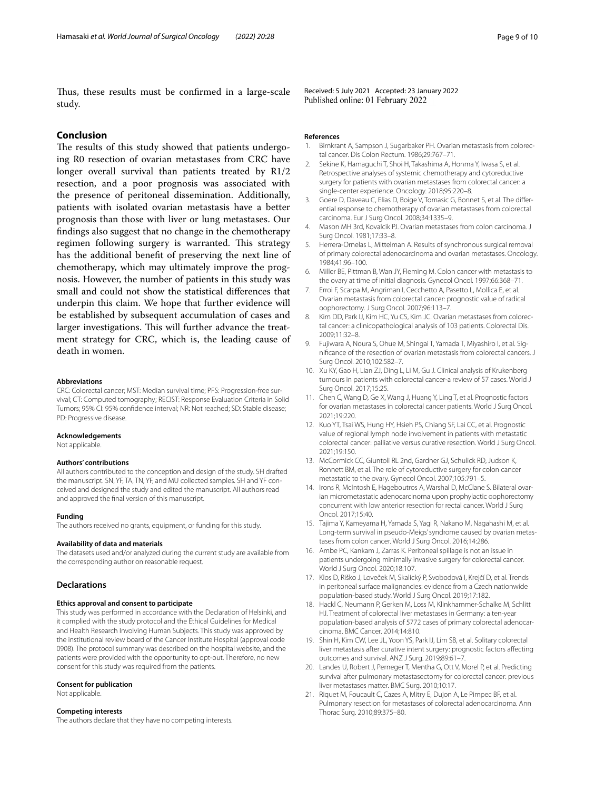Thus, these results must be confirmed in a large-scale study.

## **Conclusion**

The results of this study showed that patients undergoing R0 resection of ovarian metastases from CRC have longer overall survival than patients treated by R1/2 resection, and a poor prognosis was associated with the presence of peritoneal dissemination. Additionally, patients with isolated ovarian metastasis have a better prognosis than those with liver or lung metastases. Our fndings also suggest that no change in the chemotherapy regimen following surgery is warranted. This strategy has the additional beneft of preserving the next line of chemotherapy, which may ultimately improve the prognosis. However, the number of patients in this study was small and could not show the statistical diferences that underpin this claim. We hope that further evidence will be established by subsequent accumulation of cases and larger investigations. This will further advance the treatment strategy for CRC, which is, the leading cause of death in women.

#### **Abbreviations**

CRC: Colorectal cancer; MST: Median survival time; PFS: Progression-free survival; CT: Computed tomography; RECIST: Response Evaluation Criteria in Solid Tumors; 95% CI: 95% confdence interval; NR: Not reached; SD: Stable disease; PD: Progressive disease.

#### **Acknowledgements**

Not applicable.

#### **Authors' contributions**

All authors contributed to the conception and design of the study. SH drafted the manuscript. SN, YF, TA, TN, YF, and MU collected samples. SH and YF conceived and designed the study and edited the manuscript. All authors read and approved the fnal version of this manuscript.

#### **Funding**

The authors received no grants, equipment, or funding for this study.

#### **Availability of data and materials**

The datasets used and/or analyzed during the current study are available from the corresponding author on reasonable request.

#### **Declarations**

#### **Ethics approval and consent to participate**

This study was performed in accordance with the Declaration of Helsinki, and it complied with the study protocol and the Ethical Guidelines for Medical and Health Research Involving Human Subjects. This study was approved by the institutional review board of the Cancer Institute Hospital (approval code 0908). The protocol summary was described on the hospital website, and the patients were provided with the opportunity to opt-out. Therefore, no new consent for this study was required from the patients.

#### **Consent for publication**

Not applicable.

#### **Competing interests**

The authors declare that they have no competing interests.

Received: 5 July 2021 Accepted: 23 January 2022 Published online: 01 February 2022

#### **References**

- <span id="page-8-0"></span>Birnkrant A, Sampson J, Sugarbaker PH. Ovarian metastasis from colorectal cancer. Dis Colon Rectum. 1986;29:767–71.
- <span id="page-8-1"></span>2. Sekine K, Hamaguchi T, Shoi H, Takashima A, Honma Y, Iwasa S, et al. Retrospective analyses of systemic chemotherapy and cytoreductive surgery for patients with ovarian metastases from colorectal cancer: a single-center experience. Oncology. 2018;95:220–8.
- <span id="page-8-2"></span>3. Goere D, Daveau C, Elias D, Boige V, Tomasic G, Bonnet S, et al. The diferential response to chemotherapy of ovarian metastases from colorectal carcinoma. Eur J Surg Oncol. 2008;34:1335–9.
- <span id="page-8-3"></span>4. Mason MH 3rd, Kovalcik PJ. Ovarian metastases from colon carcinoma. J Surg Oncol. 1981;17:33–8.
- 5. Herrera-Ornelas L, Mittelman A. Results of synchronous surgical removal of primary colorectal adenocarcinoma and ovarian metastases. Oncology. 1984;41:96–100.
- <span id="page-8-4"></span>6. Miller BE, Pittman B, Wan JY, Fleming M. Colon cancer with metastasis to the ovary at time of initial diagnosis. Gynecol Oncol. 1997;66:368–71.
- <span id="page-8-5"></span>7. Erroi F, Scarpa M, Angriman I, Cecchetto A, Pasetto L, Mollica E, et al. Ovarian metastasis from colorectal cancer: prognostic value of radical oophorectomy. J Surg Oncol. 2007;96:113–7.
- 8. Kim DD, Park IJ, Kim HC, Yu CS, Kim JC. Ovarian metastases from colorectal cancer: a clinicopathological analysis of 103 patients. Colorectal Dis. 2009;11:32–8.
- <span id="page-8-11"></span>9. Fujiwara A, Noura S, Ohue M, Shingai T, Yamada T, Miyashiro I, et al. Signifcance of the resection of ovarian metastasis from colorectal cancers. J Surg Oncol. 2010;102:582–7.
- <span id="page-8-12"></span>10. Xu KY, Gao H, Lian ZJ, Ding L, Li M, Gu J. Clinical analysis of Krukenberg tumours in patients with colorectal cancer-a review of 57 cases. World J Surg Oncol. 2017;15:25.
- <span id="page-8-13"></span>11. Chen C, Wang D, Ge X, Wang J, Huang Y, Ling T, et al. Prognostic factors for ovarian metastases in colorectal cancer patients. World J Surg Oncol. 2021;19:220.
- 12. Kuo YT, Tsai WS, Hung HY, Hsieh PS, Chiang SF, Lai CC, et al. Prognostic value of regional lymph node involvement in patients with metastatic colorectal cancer: palliative versus curative resection. World J Surg Oncol. 2021;19:150.
- <span id="page-8-7"></span>13. McCormick CC, Giuntoli RL 2nd, Gardner GJ, Schulick RD, Judson K, Ronnett BM, et al. The role of cytoreductive surgery for colon cancer metastatic to the ovary. Gynecol Oncol. 2007;105:791–5.
- 14. Irons R, McIntosh E, Hageboutros A, Warshal D, McClane S. Bilateral ovarian micrometastatic adenocarcinoma upon prophylactic oophorectomy concurrent with low anterior resection for rectal cancer. World J Surg Oncol. 2017;15:40.
- 15. Tajima Y, Kameyama H, Yamada S, Yagi R, Nakano M, Nagahashi M, et al. Long-term survival in pseudo-Meigs' syndrome caused by ovarian metastases from colon cancer. World J Surg Oncol. 2016;14:286.
- 16. Ambe PC, Kankam J, Zarras K. Peritoneal spillage is not an issue in patients undergoing minimally invasive surgery for colorectal cancer. World J Surg Oncol. 2020;18:107.
- <span id="page-8-6"></span>17. Klos D, Riško J, Loveček M, Skalický P, Svobodová I, Krejčí D, et al. Trends in peritoneal surface malignancies: evidence from a Czech nationwide population-based study. World J Surg Oncol. 2019;17:182.
- <span id="page-8-8"></span>18. Hackl C, Neumann P, Gerken M, Loss M, Klinkhammer-Schalke M, Schlitt HJ. Treatment of colorectal liver metastases in Germany: a ten-year population-based analysis of 5772 cases of primary colorectal adenocarcinoma. BMC Cancer. 2014;14:810.
- <span id="page-8-9"></span>19. Shin H, Kim CW, Lee JL, Yoon YS, Park IJ, Lim SB, et al. Solitary colorectal liver metastasis after curative intent surgery: prognostic factors afecting outcomes and survival. ANZ J Surg. 2019;89:61–7.
- <span id="page-8-10"></span>20. Landes U, Robert J, Perneger T, Mentha G, Ott V, Morel P, et al. Predicting survival after pulmonary metastasectomy for colorectal cancer: previous liver metastases matter. BMC Surg. 2010;10:17.
- 21. Riquet M, Foucault C, Cazes A, Mitry E, Dujon A, Le Pimpec BF, et al. Pulmonary resection for metastases of colorectal adenocarcinoma. Ann Thorac Surg. 2010;89:375–80.